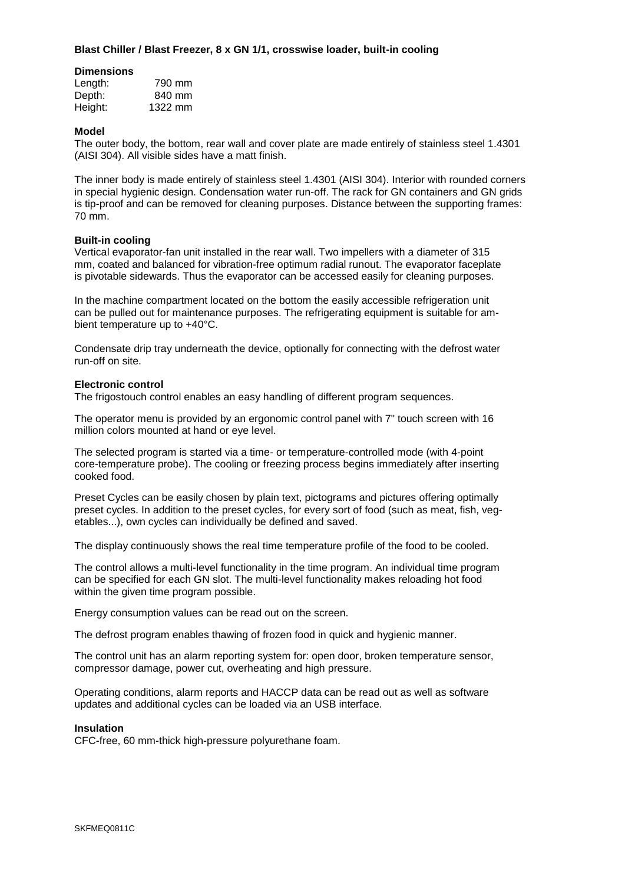# **Blast Chiller / Blast Freezer, 8 x GN 1/1, crosswise loader, built-in cooling**

## **Dimensions**

| Length: | 790 mm  |
|---------|---------|
| Depth:  | 840 mm  |
| Height: | 1322 mm |

## **Model**

The outer body, the bottom, rear wall and cover plate are made entirely of stainless steel 1.4301 (AISI 304). All visible sides have a matt finish.

The inner body is made entirely of stainless steel 1.4301 (AISI 304). Interior with rounded corners in special hygienic design. Condensation water run-off. The rack for GN containers and GN grids is tip-proof and can be removed for cleaning purposes. Distance between the supporting frames: 70 mm.

### **Built-in cooling**

Vertical evaporator-fan unit installed in the rear wall. Two impellers with a diameter of 315 mm, coated and balanced for vibration-free optimum radial runout. The evaporator faceplate is pivotable sidewards. Thus the evaporator can be accessed easily for cleaning purposes.

In the machine compartment located on the bottom the easily accessible refrigeration unit can be pulled out for maintenance purposes. The refrigerating equipment is suitable for ambient temperature up to +40°C.

Condensate drip tray underneath the device, optionally for connecting with the defrost water run-off on site.

### **Electronic control**

The frigostouch control enables an easy handling of different program sequences.

The operator menu is provided by an ergonomic control panel with 7" touch screen with 16 million colors mounted at hand or eye level.

The selected program is started via a time- or temperature-controlled mode (with 4-point core-temperature probe). The cooling or freezing process begins immediately after inserting cooked food.

Preset Cycles can be easily chosen by plain text, pictograms and pictures offering optimally preset cycles. In addition to the preset cycles, for every sort of food (such as meat, fish, vegetables...), own cycles can individually be defined and saved.

The display continuously shows the real time temperature profile of the food to be cooled.

The control allows a multi-level functionality in the time program. An individual time program can be specified for each GN slot. The multi-level functionality makes reloading hot food within the given time program possible.

Energy consumption values can be read out on the screen.

The defrost program enables thawing of frozen food in quick and hygienic manner.

The control unit has an alarm reporting system for: open door, broken temperature sensor, compressor damage, power cut, overheating and high pressure.

Operating conditions, alarm reports and HACCP data can be read out as well as software updates and additional cycles can be loaded via an USB interface.

### **Insulation**

CFC-free, 60 mm-thick high-pressure polyurethane foam.